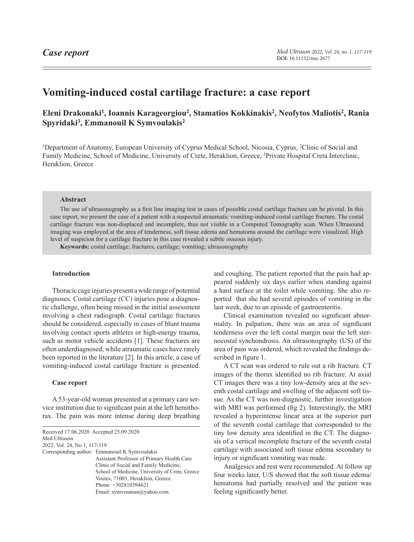# **Vomiting-induced costal cartilage fracture: a case report**

## **Eleni Drakonaki1, Ioannis Karageorgiou2, Stamatios Kokkinakis2, Neofytos Maliotis2, Rania Spyridaki3, Emmanouil K Symvoulakis2**

1Department of Anatomy, European University of Cyprus Medical School, Nicosia, Cyprus, 2Clinic of Social and Family Medicine, School of Medicine, University of Crete, Heraklion, Greece, 3Private Hospital Creta Interclinic, Heraklion, Greece

#### **Abstract**

The use of ultrasonography as a first line imaging test in cases of possible costal cartilage fracture can be pivotal. In this case report, we present the case of a patient with a suspected atraumatic vomiting-induced costal cartilage fracture. The costal cartilage fracture was non-displaced and incomplete, thus not visible in a Computed Tomography scan. When Ultrasound imaging was employed at the area of tenderness, soft tissue edema and hematoma around the cartilage were visualized. High level of suspicion for a cartilage fracture in this case revealed a subtle osseous injury.

**Keywords:** costal cartilage; fractures, cartilage; vomiting; ultrasonography

#### **Introduction**

Thoracic cage injuries present a wide range of potential diagnoses. Costal cartilage (CC) injuries pose a diagnostic challenge, often being missed in the initial assessment involving a chest radiograph. Costal cartilage fractures should be considered, especially in cases of blunt trauma involving contact sports athletes or high-energy trauma, such as motor vehicle accidents [1]. These fractures are often underdiagnosed, while atraumatic cases have rarely been reported in the literature [2]. In this article, a case of vomiting-induced costal cartilage fracture is presented.

#### **Case report**

A 53-year-old woman presented at a primary care service institution due to significant pain at the left hemithorax. The pain was more intense during deep breathing

<span id="page-0-0"></span>Received 17.06.2020 Accepted 25.09.2020 Med Ultrason 2022, Vol. 24, No 1, [117](#page-0-0)-119 Corresponding author: Emmanouil K Symvoulakis Assistant Professor of Primary Health Care Clinic of Social and Family Medicine, School of Medicine, University of Crete, Greece Voutes, 71003, Heraklion, Greece Phone: +302810394621 Email: symvouman@yahoo.com

and coughing. The patient reported that the pain had appeared suddenly six days earlier when standing against a hard surface at the toilet while vomiting. She also reported that she had several episodes of vomiting in the last week, due to an episode of gastroenteritis.

Clinical examination revealed no significant abnormality. In palpation, there was an area of significant tenderness over the left costal margin near the left sternocostal synchondrosis. An ultrasonography (US) of the area of pain was ordered, which revealed the findings described in figure 1.

A CT scan was ordered to rule out a rib fracture. CT images of the thorax identified no rib fracture. At axial CT images there was a tiny low-density area at the seventh costal cartilage and swelling of the adjacent soft tissue. As the CT was non-diagnostic, further investigation with MRI was performed (fig 2). Interestingly, the MRI revealed a hyperintense linear area at the superior part of the seventh costal cartilage that corresponded to the tiny low density area identified in the CT. The diagnosis of a vertical incomplete fracture of the seventh costal cartilage with associated soft tissue edema secondary to injury or significant vomiting was made.

Analgesics and rest were recommended. At follow up four weeks later, U/S showed that the soft tissue edema/ hematoma had partially resolved and the patient was feeling significantly better.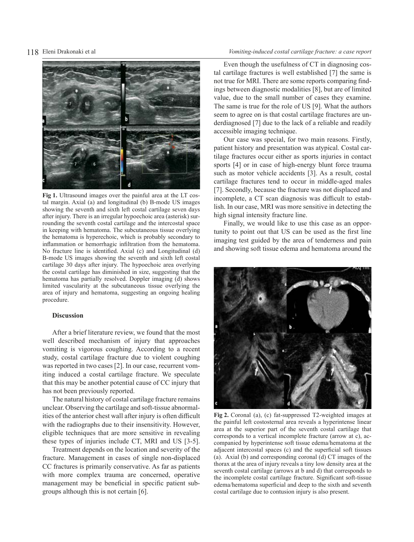### 118 Eleni Drakonaki et al *Vomiting-induced costal cartilage fracture: a case report*



**Fig 1.** Ultrasound images over the painful area at the LT costal margin. Axial (a) and longitudinal (b) B-mode US images showing the seventh and sixth left costal cartilage seven days after injury. There is an irregular hypoechoic area (asterisk) surrounding the seventh costal cartilage and the intercostal space in keeping with hematoma. The subcutaneous tissue overlying the hematoma is hyperechoic, which is probably secondary to inflammation or hemorrhagic infiltration from the hematoma. No fracture line is identified. Axial (c) and Longitudinal (d) B-mode US images showing the seventh and sixth left costal cartilage 30 days after injury. The hypoechoic area overlying the costal cartilage has diminished in size, suggesting that the hematoma has partially resolved. Doppler imaging (d) shows limited vascularity at the subcutaneous tissue overlying the area of injury and hematoma, suggesting an ongoing healing procedure.

#### **Discussion**

After a brief literature review, we found that the most well described mechanism of injury that approaches vomiting is vigorous coughing. According to a recent study, costal cartilage fracture due to violent coughing was reported in two cases [2]. In our case, recurrent vomiting induced a costal cartilage fracture. We speculate that this may be another potential cause of CC injury that has not been previously reported.

The natural history of costal cartilage fracture remains unclear. Observing the cartilage and soft-tissue abnormalities of the anterior chest wall after injury is often difficult with the radiographs due to their insensitivity. However, eligible techniques that are more sensitive in revealing these types of injuries include CT, MRI and US [3-5].

Treatment depends on the location and severity of the fracture. Management in cases of single non-displaced CC fractures is primarily conservative. As far as patients with more complex trauma are concerned, operative management may be beneficial in specific patient subgroups although this is not certain [6].

Even though the usefulness of CT in diagnosing costal cartilage fractures is well established [7] the same is not true for MRI. There are some reports comparing findings between diagnostic modalities [8], but are of limited value, due to the small number of cases they examine. The same is true for the role of US [9]. What the authors seem to agree on is that costal cartilage fractures are underdiagnosed [7] due to the lack of a reliable and readily accessible imaging technique.

Our case was special, for two main reasons. Firstly, patient history and presentation was atypical. Costal cartilage fractures occur either as sports injuries in contact sports [4] or in case of high-energy blunt force trauma such as motor vehicle accidents [3]. As a result, costal cartilage fractures tend to occur in middle-aged males [7]. Secondly, because the fracture was not displaced and incomplete, a CT scan diagnosis was difficult to establish. In our case, MRI was more sensitive in detecting the high signal intensity fracture line.

Finally, we would like to use this case as an opportunity to point out that US can be used as the first line imaging test guided by the area of tenderness and pain and showing soft tissue edema and hematoma around the



**Fig 2.** Coronal (a), (c) fat-suppressed T2-weighted images at the painful left costosternal area reveals a hyperintense linear area at the superior part of the seventh costal cartilage that corresponds to a vertical incomplete fracture (arrow at c), accompanied by hyperintense soft tissue edema/hematoma at the adjacent intercostal spaces (c) and the superficial soft tissues (a). Axial (b) and corresponding coronal (d) CT images of the thorax at the area of injury reveals a tiny low density area at the seventh costal cartilage (arrows at b and d) that corresponds to the incomplete costal cartilage fracture. Significant soft-tissue edema/hematoma superficial and deep to the sixth and seventh costal cartilage due to contusion injury is also present.